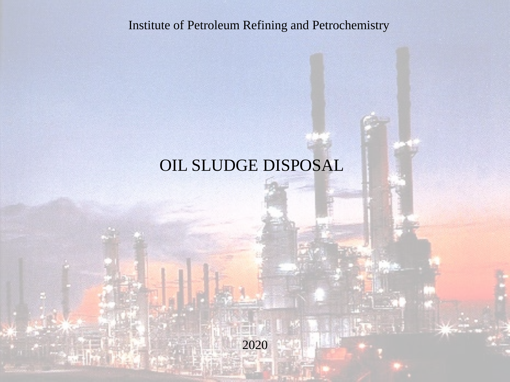Institute of Petroleum Refining and Petrochemistry

## OIL SLUDGE DISPOSAL

2020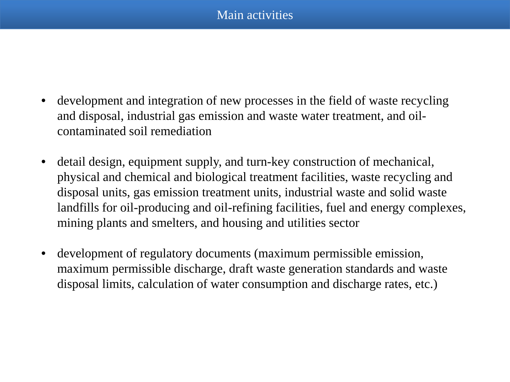- development and integration of new processes in the field of waste recycling and disposal, industrial gas emission and waste water treatment, and oilcontaminated soil remediation
- detail design, equipment supply, and turn-key construction of mechanical, physical and chemical and biological treatment facilities, waste recycling and disposal units, gas emission treatment units, industrial waste and solid waste landfills for oil-producing and oil-refining facilities, fuel and energy complexes, mining plants and smelters, and housing and utilities sector
- development of regulatory documents (maximum permissible emission, maximum permissible discharge, draft waste generation standards and waste disposal limits, calculation of water consumption and discharge rates, etc.)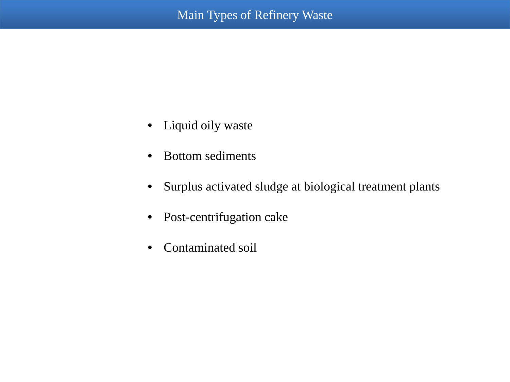- Liquid oily waste
- Bottom sediments
- Surplus activated sludge at biological treatment plants
- Post-centrifugation cake
- Contaminated soil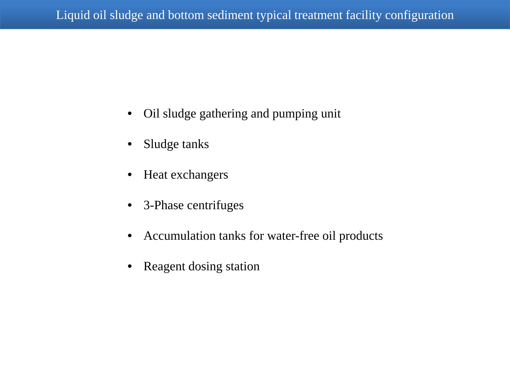- Oil sludge gathering and pumping unit
- Sludge tanks
- Heat exchangers
- 3-Phase centrifuges
- Accumulation tanks for water-free oil products
- Reagent dosing station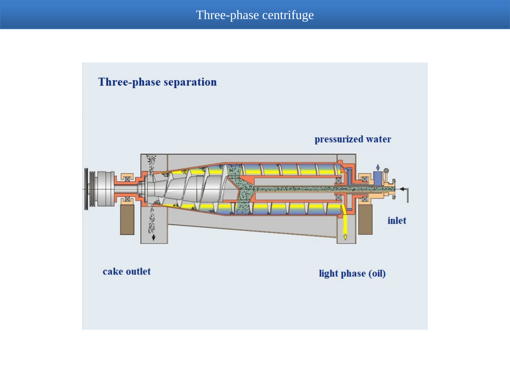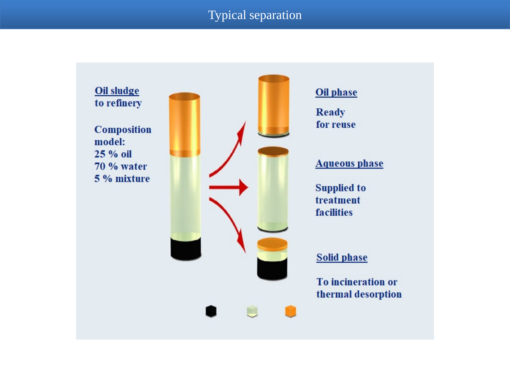## Typical separation

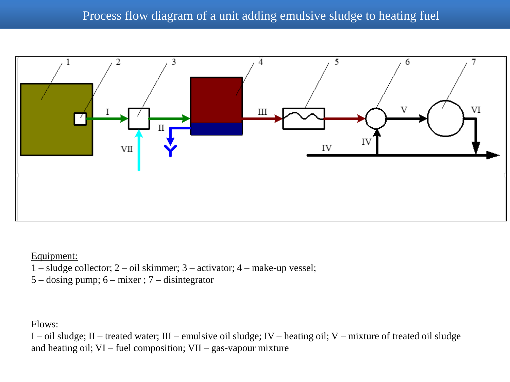

Equipment:

- 1 sludge collector; 2 oil skimmer; 3 activator; 4 make-up vessel;
- 5 dosing pump; 6 mixer ; 7 disintegrator

Flows:

I – oil sludge; II – treated water; III – emulsive oil sludge; IV – heating oil; V – mixture of treated oil sludge and heating oil; VI – fuel composition; VII – gas-vapour mixture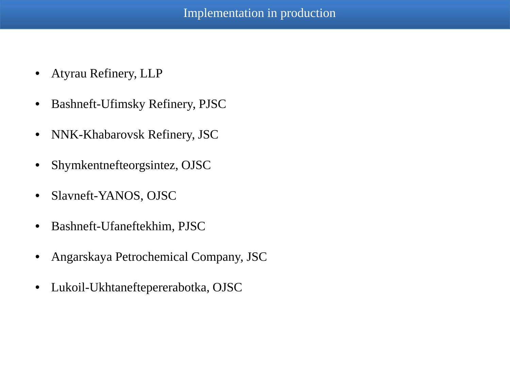- Atyrau Refinery, LLP
- Bashneft-Ufimsky Refinery, PJSC
- NNK-Khabarovsk Refinery, JSC
- Shymkentnefteorgsintez, OJSC
- Slavneft-YANOS, OJSC
- Bashneft-Ufaneftekhim, PJSC
- Angarskaya Petrochemical Company, JSC
- Lukoil-Ukhtaneftepererabotka, OJSC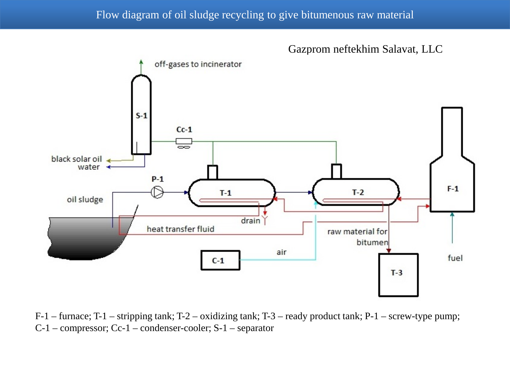## Flow diagram of oil sludge recycling to give bitumenous raw material



F-1 – furnace; T-1 – stripping tank; T-2 – oxidizing tank; T-3 – ready product tank; P-1 – screw-type pump; C-1 – compressor; Cc-1 – condenser-cooler; S-1 – separator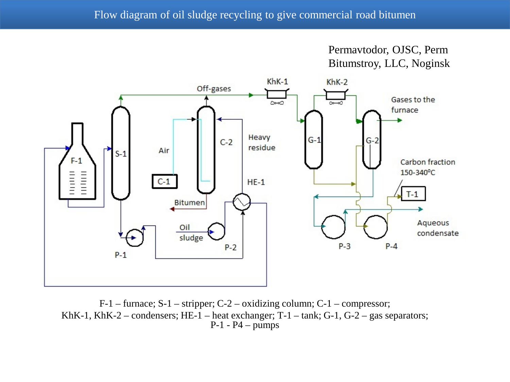



F-1 – furnace; S-1 – stripper; C-2 – oxidizing column; C-1 – compressor; KhK-1, KhK-2 – condensers; HE-1 – heat exchanger; T-1 – tank; G-1, G-2 – gas separators;  $P-1 - P4 - \text{pumps}$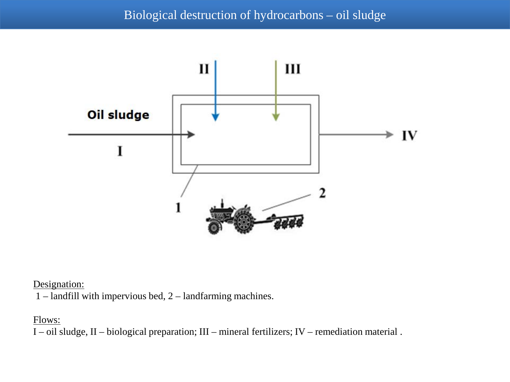

Designation:

1 – landfill with impervious bed, 2 – landfarming machines.

## Flows:

I – oil sludge, II – biological preparation; III – mineral fertilizers; IV – remediation material .